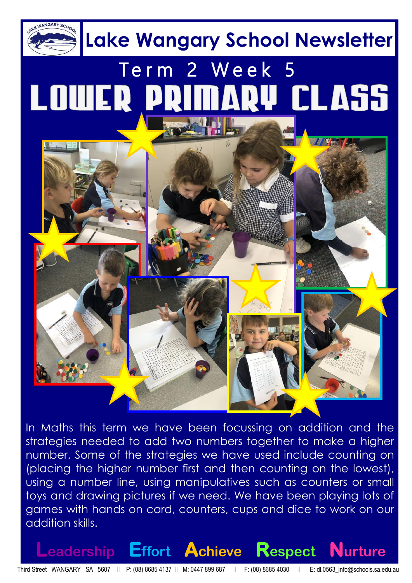

In Maths this term we have been focussing on addition and the strategies needed to add two numbers together to make a higher number. Some of the strategies we have used include counting on (placing the higher number first and then counting on the lowest), using a number line, using manipulatives such as counters or small toys and drawing pictures if we need. We have been playing lots of games with hands on card, counters, cups and dice to work on our addition skills.

**Leadership Effort Achieve Respect Nurture**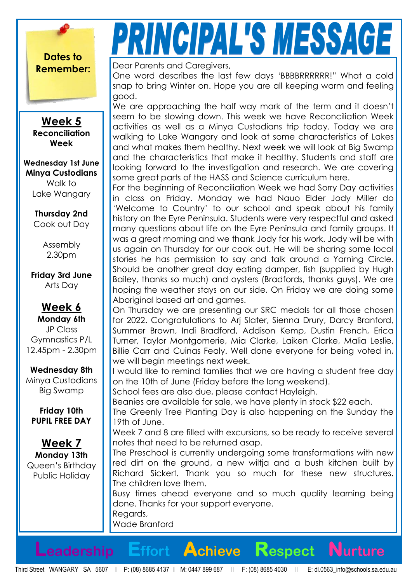**Dates to** 

**Week 5 Reconciliation Week**

**Wednesday 1st June Minya Custodians** Walk to Lake Wangary

> **Thursday 2nd** Cook out Day

> > Assembly 2.30pm

**Friday 3rd June** Arts Day

**Week 6 Monday 6th** JP Class Gymnastics P/L 12.45pm - 2.30pm

**Wednesday 8th** Minya Custodians Big Swamp

**Friday 10th PUPIL FREE DAY**

**Week 7 Monday 13th** Queen's Birthday Public Holiday

# PRINCIPAL'S MESSAGE

**Remember: Dear Parents and Caregivers,** 

One word describes the last few days 'BBBBRRRRRR!" What a cold snap to bring Winter on. Hope you are all keeping warm and feeling good.

We are approaching the half way mark of the term and it doesn't seem to be slowing down. This week we have Reconciliation Week activities as well as a Minya Custodians trip today. Today we are walking to Lake Wangary and look at some characteristics of Lakes and what makes them healthy. Next week we will look at Big Swamp and the characteristics that make it healthy. Students and staff are looking forward to the investigation and research. We are covering some great parts of the HASS and Science curriculum here.

For the beginning of Reconciliation Week we had Sorry Day activities in class on Friday. Monday we had Nauo Elder Jody Miller do 'Welcome to Country' to our school and speak about his family history on the Eyre Peninsula. Students were very respectful and asked many questions about life on the Eyre Peninsula and family groups. It was a great morning and we thank Jody for his work. Jody will be with us again on Thursday for our cook out. He will be sharing some local stories he has permission to say and talk around a Yarning Circle. Should be another great day eating damper, fish (supplied by Hugh Bailey, thanks so much) and oysters (Bradfords, thanks guys). We are hoping the weather stays on our side. On Friday we are doing some Aboriginal based art and games.

On Thursday we are presenting our SRC medals for all those chosen for 2022. Congratulations to Arj Slater, Sienna Drury, Darcy Branford, Summer Brown, Indi Bradford, Addison Kemp, Dustin French, Erica Turner, Taylor Montgomerie, Mia Clarke, Laiken Clarke, Malia Leslie, Billie Carr and Cuinas Fealy. Well done everyone for being voted in, we will begin meetings next week.

I would like to remind families that we are having a student free day on the 10th of June (Friday before the long weekend).

School fees are also due, please contact Hayleigh.

Beanies are available for sale, we have plenty in stock \$22 each.

The Greenly Tree Planting Day is also happening on the Sunday the 19th of June.

Week 7 and 8 are filled with excursions, so be ready to receive several notes that need to be returned asap.

The Preschool is currently undergoing some transformations with new red dirt on the ground, a new wiltja and a bush kitchen built by Richard Sickert. Thank you so much for these new structures. The children love them.

Busy times ahead everyone and so much quality learning being done. Thanks for your support everyone. Regards,

Wade Branford

**Leadership Effort Achieve Respect Nurture**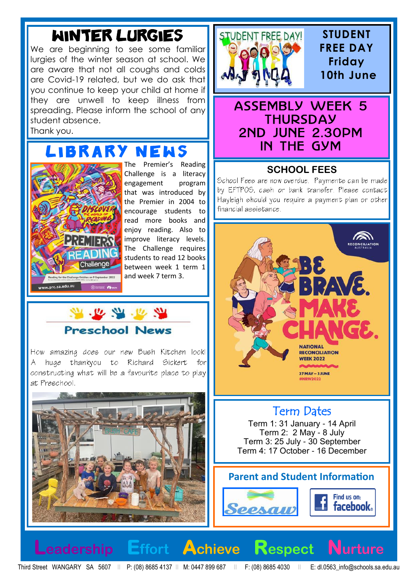## Winter Lurgies

We are beginning to see some familiar lurgies of the winter season at school. We are aware that not all coughs and colds are Covid-19 related, but we do ask that you continue to keep your child at home if they are unwell to keep illness from spreading. Please inform the school of any student absence. Thank you.

## **ARY N**



The Premier's Reading Challenge is a literacy engagement program that was introduced by the Premier in 2004 to encourage students to read more books and enjoy reading. Also to improve literacy levels. The Challenge requires students to read 12 books between week 1 term 1 and week 7 term 3.



How amazing does our new Bush Kitchen look! A huge thankyou to Richard Sickert for constructing what will be a favourite place to play at Preschool.





#### **STUDENT FREE DAY Friday 10th June**

## **ASSEMBLY WEEK 5 THURSDAY** 2ND JUNE 2.30PM<br>IN THE GYM

#### **SCHOOL FEES**

School Fees are now overdue. Payments can be made by EFTPOS, cash or bank transfer. Please contact Hayleigh should you require a payment plan or other financial assistance.



## Term Dates

Term 1: 31 January - 14 April Term 2: 2 May - 8 July Term 3: 25 July - 30 September Term 4: 17 October - 16 December

#### **Parent and Student Information**





Third Street WANGARY SA 5607 II P: (08) 8685 4137 II M: 0447 899 687 II F: (08) 8685 4030 II E: dl.0563\_info@schools.sa.edu.au

**Leadership Effort Achieve Respect Nurture**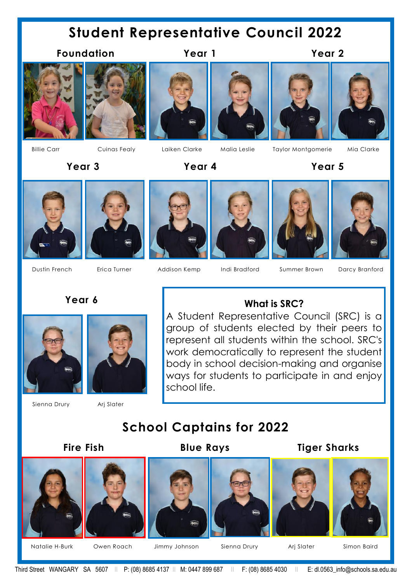## **Student Representative Council 2022**

#### **Foundation Year 1 Year 2**













 **Year 3 Year 4 Year 5**



















Dustin French Erica Turner Addison Kemp Indi Bradford Summer Brown Darcy Branford

#### **Year 6**





#### Sienna Drury Arj Slater

#### **What is SRC?**

A Student Representative Council (SRC) is a group of students elected by their peers to represent all students within the school. SRC's work democratically to represent the student body in school decision-making and organise ways for students to participate in and enjoy school life.

### **School Captains for 2022**

#### **Fire Fish Blue Rays Tiger Sharks**















Natalie H-Burk Owen Roach Jimmy Johnson Sienna Drury Arj Slater Simon Baird

Third Street WANGARY SA 5607 II P: (08) 8685 4137 II M: 0447 899 687 II F: (08) 8685 4030 II E: dl.0563\_info@schools.sa.edu.au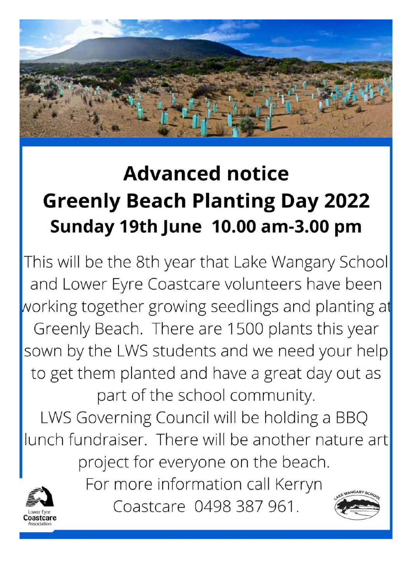

## **Advanced notice Greenly Beach Planting Day 2022** Sunday 19th June 10.00 am-3.00 pm

This will be the 8th year that Lake Wangary School and Lower Eyre Coastcare volunteers have been working together growing seedlings and planting at Greenly Beach. There are 1500 plants this year sown by the LWS students and we need your help to get them planted and have a great day out as part of the school community.

LWS Governing Council will be holding a BBQ lunch fundraiser. There will be another nature art project for everyone on the beach.

For more information call Kerryn

Coastcare 0498 387 961.